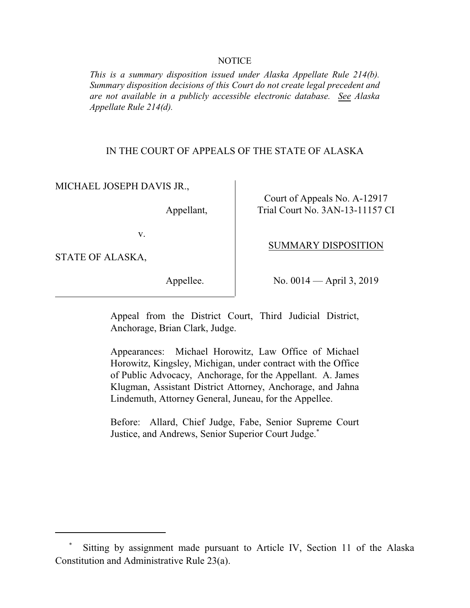## **NOTICE**

*This is a summary disposition issued under Alaska Appellate Rule 214(b). Summary disposition decisions of this Court do not create legal precedent and are not available in a publicly accessible electronic database. See Alaska Appellate Rule 214(d).* 

## IN THE COURT OF APPEALS OF THE STATE OF ALASKA

MICHAEL JOSEPH DAVIS JR.,

Court of Appeals No. A-12917 Appellant, Trial Court No. 3AN-13-11157 CI

v.

STATE OF ALASKA,

Appellee. No. 0014 — April 3, 2019

SUMMARY DISPOSITION

Appeal from the District Court, Third Judicial District, Anchorage, Brian Clark, Judge.

Appearances: Michael Horowitz, Law Office of Michael Horowitz, Kingsley, Michigan, under contract with the Office of Public Advocacy, Anchorage, for the Appellant. A. James Klugman, Assistant District Attorney, Anchorage, and Jahna Lindemuth, Attorney General, Juneau, for the Appellee.

Before: Allard, Chief Judge, Fabe, Senior Supreme Court Justice, and Andrews, Senior Superior Court Judge.\*

Sitting by assignment made pursuant to Article IV, Section 11 of the Alaska Constitution and Administrative Rule 23(a).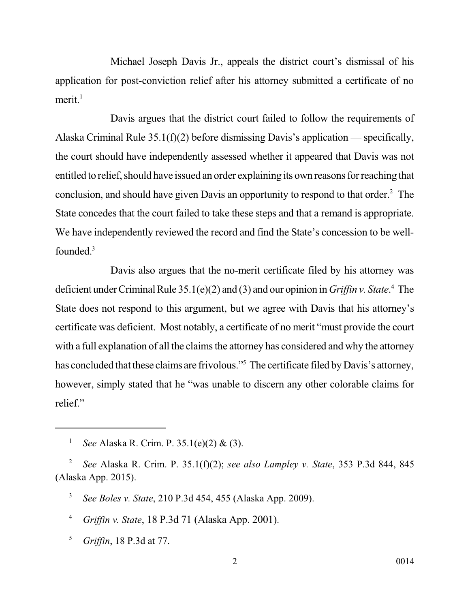Michael Joseph Davis Jr., appeals the district court's dismissal of his application for post-conviction relief after his attorney submitted a certificate of no merit. $<sup>1</sup>$ </sup>

 Davis argues that the district court failed to follow the requirements of Alaska Criminal Rule 35.1(f)(2) before dismissing Davis's application — specifically, the court should have independently assessed whether it appeared that Davis was not entitled to relief, should have issued an order explaining its own reasons for reaching that conclusion, and should have given Davis an opportunity to respond to that order.<sup>2</sup> The State concedes that the court failed to take these steps and that a remand is appropriate. We have independently reviewed the record and find the State's concession to be wellfounded.<sup>3</sup>

 Davis also argues that the no-merit certificate filed by his attorney was deficient under Criminal Rule 35.1(e)(2) and (3) and our opinion in *Griffin v. State*. 4 The State does not respond to this argument, but we agree with Davis that his attorney's certificate was deficient. Most notably, a certificate of no merit "must provide the court with a full explanation of all the claims the attorney has considered and why the attorney has concluded that these claims are frivolous."<sup>5</sup> The certificate filed by Davis's attorney, however, simply stated that he "was unable to discern any other colorable claims for relief."

<sup>5</sup>*Griffin*, 18 P.3d at 77.

<sup>1</sup>*See* Alaska R. Crim. P. 35.1(e)(2) & (3).

<sup>2</sup>*See* Alaska R. Crim. P. 35.1(f)(2); *see also Lampley v. State*, 353 P.3d 844, 845 (Alaska App. 2015).

<sup>3</sup>*See Boles v. State*, 210 P.3d 454, 455 (Alaska App. 2009).

<sup>4</sup>*Griffin v. State*, 18 P.3d 71 (Alaska App. 2001).